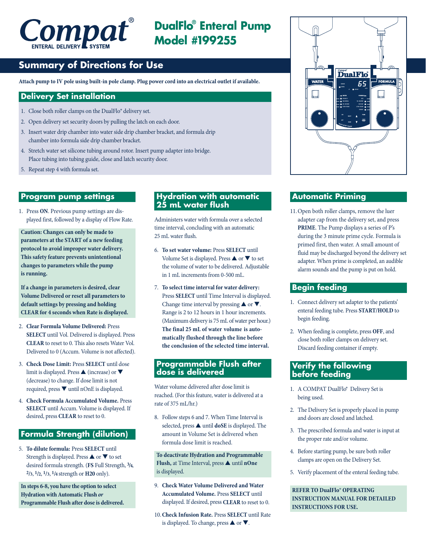

**DualFlo® Enteral Pump Model #199255**

# **Summary of Directions for Use**

**Attach pump to IV pole using built-in pole clamp. Plug power cord into an electrical outlet if available.**

#### **Delivery Set installation**

- 1. Close both roller clamps on the DualFlo® delivery set.
- 2. Open delivery set security doors by pulling the latch on each door.
- 3. Insert water drip chamber into water side drip chamber bracket, and formula drip chamber into formula side drip chamber bracket.
- 4. Stretch water set silicone tubing around rotor. Insert pump adapter into bridge. Place tubing into tubing guide, close and latch security door.
- 5. Repeat step 4 with formula set.

#### **Program pump settings**

1. Press **ON**. Previous pump settings are displayed first, followed by a display of Flow Rate.

**Caution: Changes can only be made to parameters at the START of a new feeding protocol to avoid improper water delivery. This safety feature prevents unintentional changes to parameters while the pump is running.**

**If a change in parameters is desired, clear Volume Delivered or reset all parameters to default settings by pressing and holding CLEAR for 4 seconds when Rate is displayed.**

- 2. **Clear Formula Volume Delivered:** Press **SELECT** until Vol. Delivered is displayed. Press **CLEAR** to reset to 0. This also resets Water Vol. Delivered to 0 (Accum. Volume is not affected).
- 3. **Check Dose Limit:** Press **SELECT** until dose limit is displayed. Press ▲ (increase) or ▼ (decrease) to change. If dose limit is not required, press ▼ until nOnE is displayed.
- 4. **Check Formula Accumulated Volume.** Press **SELECT** until Accum. Volume is displayed. If desired, press **CLEAR** to reset to 0.

#### **Formula Strength (dilution)**

5. **To dilute formula:** Press **SELECT** until Strength is displayed. Press ▲ or ▼ to set desired formula strength. (**FS** Full Strength, **3/4**, **2/3**, **1/2**, **1/3**, **1/4** strength or **H20** only).

**In steps 6-8, you have the option to select Hydration with Automatic Flush or Programmable Flush after dose is delivered.**

#### **Hydration with automatic 25 mL water flush**

Administers water with formula over a selected time interval, concluding with an automatic 25 mL water flush.

- 6. **To set water volume:** Press **SELECT** until Volume Set is displayed. Press  $\triangle$  or  $\nabla$  to set the volume of water to be delivered. Adjustable in 1 mL increments from 0-500 mL.
- 7. **To select time interval for water delivery:** Press **SELECT** until Time Interval is displayed. Change time interval by pressing  $\blacktriangle$  or  $\nabla$ . Range is 2 to 12 hours in 1 hour increments. (Maximum delivery is 75 mL of water perhour.) **The final 25 mL of water volume is automatically flushed through the line before the conclusion of the selected time interval.**

#### **Programmable Flush after dose is delivered**

Water volume delivered after dose limit is reached. (For this feature, water is delivered at a rate of 375 mL/hr.)

8. Follow steps 6 and 7. When Time Interval is selected, press ▲ until **doSE** is displayed. The amount in Volume Set is delivered when formula dose limit is reached.

**To deactivate Hydration and Programmable Flush,** at Time Interval, press ▲ until **nOne**  is displayed.

- 9. **Check Water Volume Delivered and Water Accumulated Volume.** Press **SELECT** until displayed. If desired, press **CLEAR** to reset to 0.
- 10.**Check Infusion Rate.** Press **SELECT** until Rate is displayed. To change, press  $\blacktriangle$  or  $\nabla$ .



## **Automatic Priming**

11.Open both roller clamps, remove the luer adapter cap from the delivery set, and press **PRIME**. The Pump displays a series of P's during the 3 minute prime cycle. Formula is primed first, then water. A small amount of fluid may be discharged beyond the delivery set adapter. When prime is completed, an audible alarm sounds and the pump is put on hold.

#### **Begin feeding**

- 1. Connect delivery set adapter to the patients' enteral feeding tube. Press **START/HOLD** to begin feeding.
- 2. When feeding is complete, press **OFF**, and close both roller clamps on delivery set. Discard feeding container if empty.

#### **Verify the following before feeding**

- 1. A COMPAT DualFlo® Delivery Set is being used.
- 2. The Delivery Set is properly placed in pump and doors are closed and latched.
- 3. The prescribed formula and water is input at the proper rate and/or volume.
- 4. Before starting pump, be sure both roller clamps are open on the Delivery Set.
- 5. Verify placement of the enteral feeding tube.

**REFER TO DualFlo® OPERATING INSTRUCTION MANUAL FOR DETAILED INSTRUCTIONS FOR USE.**